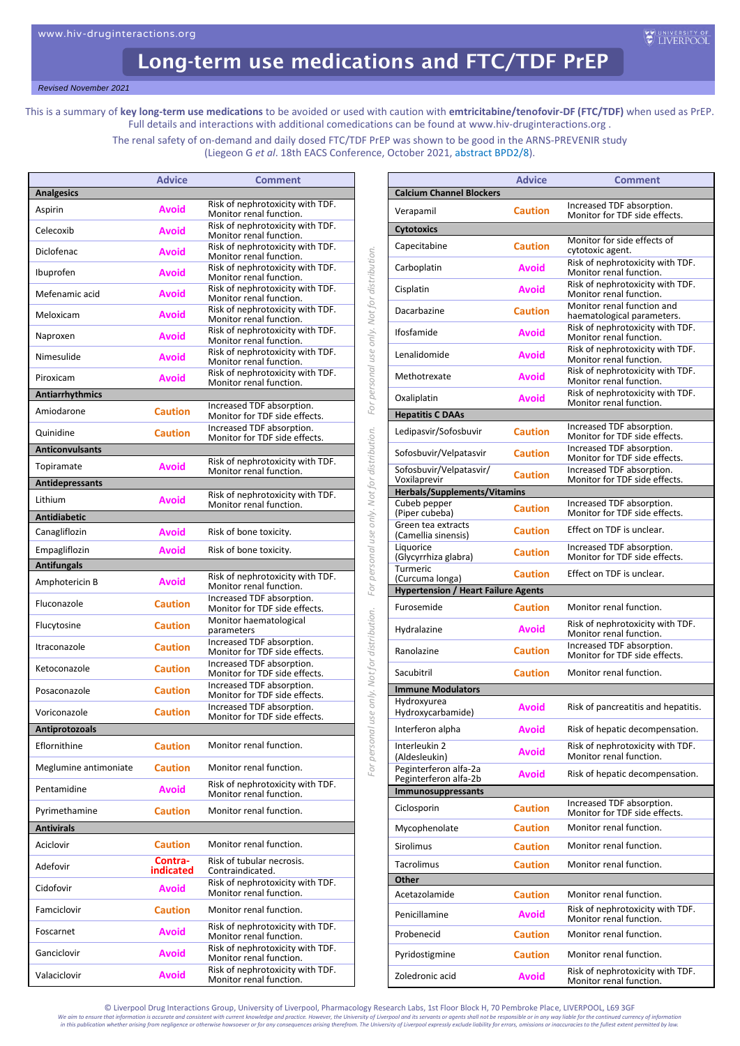## Long-term use medications and FTC/TDF PrEP

*Revised November 2021*

This is a summary of **key long-term use medications** to be avoided or used with caution with **emtricitabine/tenofovir-DF (FTC/TDF)** when used as PrEP. Full details and interactions with additional comedications can be found at www.hiv-druginteractions.org .

> The renal safety of on-demand and daily dosed FTC/TDF PrEP was shown to be good in the ARNS-PREVENIR study (Liegeon G *et al*. 18th EACS Conference, October 2021[, abstract BPD2/8\)](https://eacs2021.abstractserver.com/program/#/details/presentations/215).

> > *For personal use only. Not for distribution. For personal use only. Not for distribution. For personal use only. Not for distribution.*

For personal use only. Not for distribution.

For personal use only. Not for distribution.

For personal use only. Not for distribution.

|                        | <b>Advice</b>        | <b>Comment</b>                                              |
|------------------------|----------------------|-------------------------------------------------------------|
| <b>Analgesics</b>      |                      |                                                             |
| Aspirin                | <b>Avoid</b>         | Risk of nephrotoxicity with TDF.<br>Monitor renal function. |
| Celecoxib              | Avoid                | Risk of nephrotoxicity with TDF.<br>Monitor renal function. |
| Diclofenac             | Avoid                | Risk of nephrotoxicity with TDF.<br>Monitor renal function. |
| Ibuprofen              | Avoid                | Risk of nephrotoxicity with TDF.<br>Monitor renal function. |
| Mefenamic acid         | Avoid                | Risk of nephrotoxicity with TDF.<br>Monitor renal function. |
| Meloxicam              | Avoid                | Risk of nephrotoxicity with TDF.<br>Monitor renal function. |
| Naproxen               | Avoid                | Risk of nephrotoxicity with TDF.<br>Monitor renal function. |
| Nimesulide             | Avoid                | Risk of nephrotoxicity with TDF.<br>Monitor renal function. |
| Piroxicam              | Avoid                | Risk of nephrotoxicity with TDF.<br>Monitor renal function. |
| <b>Antiarrhythmics</b> |                      |                                                             |
| Amiodarone             | <b>Caution</b>       | Increased TDF absorption.                                   |
|                        |                      | Monitor for TDF side effects.<br>Increased TDF absorption.  |
| Quinidine              | <b>Caution</b>       | Monitor for TDF side effects.                               |
| <b>Anticonvulsants</b> |                      | Risk of nephrotoxicity with TDF.                            |
| Topiramate             | <b>Avoid</b>         | Monitor renal function.                                     |
| <b>Antidepressants</b> |                      |                                                             |
| Lithium                | Avoid                | Risk of nephrotoxicity with TDF.<br>Monitor renal function. |
| <b>Antidiabetic</b>    |                      |                                                             |
| Canagliflozin          | Avoid                | Risk of bone toxicity.                                      |
| Empagliflozin          | Avoid                | Risk of bone toxicity.                                      |
| <b>Antifungals</b>     |                      |                                                             |
| Amphotericin B         | <b>Avoid</b>         | Risk of nephrotoxicity with TDF.                            |
| Fluconazole            | <b>Caution</b>       | Monitor renal function.<br>Increased TDF absorption.        |
| Flucytosine            | <b>Caution</b>       | Monitor for TDF side effects.<br>Monitor haematological     |
| Itraconazole           | <b>Caution</b>       | parameters<br>Increased TDF absorption.                     |
| Ketoconazole           | <b>Caution</b>       | Monitor for TDF side effects.<br>Increased TDF absorption.  |
| Posaconazole           | <b>Caution</b>       | Monitor for TDF side effects.<br>Increased TDF absorption.  |
|                        |                      | Monitor for TDF side effects.<br>Increased TDF absorption.  |
| Voriconazole           | <b>Caution</b>       | Monitor for TDF side effects.                               |
| Antiprotozoals         |                      |                                                             |
| Eflornithine           | <b>Caution</b>       | Monitor renal function.                                     |
| Meglumine antimoniate  | <b>Caution</b>       | Monitor renal function.                                     |
| Pentamidine            | <b>Avoid</b>         | Risk of nephrotoxicity with TDF.<br>Monitor renal function. |
| Pyrimethamine          | <b>Caution</b>       | Monitor renal function.                                     |
| <b>Antivirals</b>      |                      |                                                             |
| Aciclovir              | <b>Caution</b>       | Monitor renal function.                                     |
| Adefovir               | Contra-<br>indicated | Risk of tubular necrosis.<br>Contraindicated.               |
| Cidofovir              | Avoid                | Risk of nephrotoxicity with TDF.<br>Monitor renal function. |
| Famciclovir            | <b>Caution</b>       | Monitor renal function.                                     |
| Foscarnet              | Avoid                | Risk of nephrotoxicity with TDF.<br>Monitor renal function. |
| Ganciclovir            | Avoid                | Risk of nephrotoxicity with TDF.<br>Monitor renal function. |
| Valaciclovir           | Avoid                | Risk of nephrotoxicity with TDF.<br>Monitor renal function. |

|                                                | <b>Advice</b>  | <b>Comment</b>                                              |  |
|------------------------------------------------|----------------|-------------------------------------------------------------|--|
| <b>Calcium Channel Blockers</b>                |                |                                                             |  |
| Verapamil                                      | <b>Caution</b> | Increased TDF absorption.<br>Monitor for TDF side effects.  |  |
| <b>Cytotoxics</b>                              |                |                                                             |  |
| Capecitabine                                   | <b>Caution</b> | Monitor for side effects of<br>cytotoxic agent.             |  |
| Carboplatin                                    | Avoid          | Risk of nephrotoxicity with TDF.<br>Monitor renal function. |  |
| Cisplatin                                      | Avoid          | Risk of nephrotoxicity with TDF.<br>Monitor renal function. |  |
| Dacarbazine                                    | <b>Caution</b> | Monitor renal function and<br>haematological parameters.    |  |
| Ifosfamide                                     | <b>Avoid</b>   | Risk of nephrotoxicity with TDF.<br>Monitor renal function. |  |
| Lenalidomide                                   | <b>Avoid</b>   | Risk of nephrotoxicity with TDF.<br>Monitor renal function. |  |
| Methotrexate                                   | <b>Avoid</b>   | Risk of nephrotoxicity with TDF.<br>Monitor renal function. |  |
| Oxaliplatin                                    | Avoid          | Risk of nephrotoxicity with TDF.<br>Monitor renal function. |  |
| <b>Hepatitis C DAAs</b>                        |                |                                                             |  |
| Ledipasvir/Sofosbuvir                          | <b>Caution</b> | Increased TDF absorption.<br>Monitor for TDF side effects.  |  |
| Sofosbuvir/Velpatasvir                         | <b>Caution</b> | Increased TDF absorption.<br>Monitor for TDF side effects.  |  |
| Sofosbuvir/Velpatasvir/<br>Voxilaprevir        | <b>Caution</b> | Increased TDF absorption.<br>Monitor for TDF side effects.  |  |
| Herbals/Supplements/Vitamins                   |                |                                                             |  |
| Cubeb pepper<br>(Piper cubeba)                 | <b>Caution</b> | Increased TDF absorption.<br>Monitor for TDF side effects.  |  |
| Green tea extracts<br>(Camellia sinensis)      | <b>Caution</b> | Effect on TDF is unclear.                                   |  |
| Liquorice<br>(Glycyrrhiza glabra)              | <b>Caution</b> | Increased TDF absorption.<br>Monitor for TDF side effects.  |  |
| Turmeric<br>(Curcuma longa)                    | <b>Caution</b> | Effect on TDF is unclear.                                   |  |
| <b>Hypertension / Heart Failure Agents</b>     |                |                                                             |  |
| Furosemide                                     | <b>Caution</b> | Monitor renal function.                                     |  |
| Hydralazine                                    | Avoid          | Risk of nephrotoxicity with TDF.<br>Monitor renal function. |  |
| Ranolazine                                     | <b>Caution</b> | Increased TDF absorption.<br>Monitor for TDF side effects.  |  |
| Sacubitril                                     | <b>Caution</b> | Monitor renal function.                                     |  |
| <b>Immune Modulators</b>                       |                |                                                             |  |
| Hydroxyurea<br>Hydroxycarbamide)               | Avoid          | Risk of pancreatitis and hepatitis.                         |  |
| Interferon alpha                               | Avoid          | Risk of hepatic decompensation.                             |  |
| Interleukin 2<br>(Aldesleukin)                 | Avoid          | Risk of nephrotoxicity with TDF.<br>Monitor renal function. |  |
| Peginterferon alfa-2a<br>Peginterferon alfa-2b | Avoid          | Risk of hepatic decompensation.                             |  |
| Immunosuppressants                             |                |                                                             |  |
| Ciclosporin                                    | <b>Caution</b> | Increased TDF absorption.<br>Monitor for TDF side effects.  |  |
| Mycophenolate                                  | <b>Caution</b> | Monitor renal function.                                     |  |
| Sirolimus                                      | <b>Caution</b> | Monitor renal function.                                     |  |
| <b>Tacrolimus</b>                              | <b>Caution</b> | Monitor renal function.                                     |  |
| Other                                          |                |                                                             |  |
| Acetazolamide                                  | <b>Caution</b> | Monitor renal function.<br>Risk of nephrotoxicity with TDF. |  |
| Penicillamine                                  | Avoid          | Monitor renal function.                                     |  |
| Probenecid                                     | <b>Caution</b> | Monitor renal function.                                     |  |
| Pyridostigmine                                 | <b>Caution</b> | Monitor renal function.<br>Risk of nephrotoxicity with TDF. |  |
| Zoledronic acid                                | Avoid          | Monitor renal function.                                     |  |

© Liverpool Drug Interactions Group, University of Liverpool, Pharmacology Research Labs, 1st Floor Block H, 70 Pembroke Place, LIVERPOOL, L69 3GF<br>We gim to ensure that information is accurate and consistent with current k

We aim to ensure that information is accurate and consistent with current knowledge and practice. However, the University of Liverpool and its servants or agents shall not be responsible or in any way liable for the contin